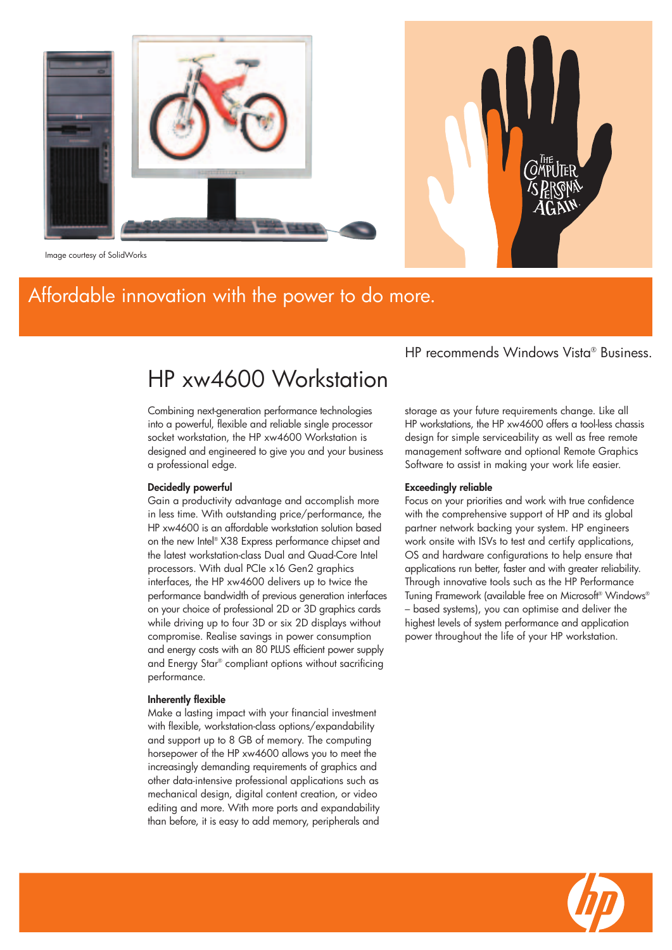

Image courtesy of SolidWorks

### Affordable innovation with the power to do more.

### HP xw4600 Workstation

Combining next-generation performance technologies into a powerful, flexible and reliable single processor socket workstation, the HP xw4600 Workstation is designed and engineered to give you and your business a professional edge.

#### **Decidedly powerful**

Gain a productivity advantage and accomplish more in less time. With outstanding price/performance, the HP xw4600 is an affordable workstation solution based on the new Intel® X38 Express performance chipset and the latest workstation-class Dual and Quad-Core Intel processors. With dual PCIe x16 Gen2 graphics interfaces, the HP xw4600 delivers up to twice the performance bandwidth of previous generation interfaces on your choice of professional 2D or 3D graphics cards while driving up to four 3D or six 2D displays without compromise. Realise savings in power consumption and energy costs with an 80 PLUS efficient power supply and Energy Star® compliant options without sacrificing performance.

#### **Inherently flexible**

Make a lasting impact with your financial investment with flexible, workstation-class options/expandability and support up to 8 GB of memory. The computing horsepower of the HP xw4600 allows you to meet the increasingly demanding requirements of graphics and other data-intensive professional applications such as mechanical design, digital content creation, or video editing and more. With more ports and expandability than before, it is easy to add memory, peripherals and HP recommends Windows Vista® Business.

storage as your future requirements change. Like all HP workstations, the HP xw4600 offers a tool-less chassis design for simple serviceability as well as free remote management software and optional Remote Graphics Software to assist in making your work life easier.

#### **Exceedingly reliable**

Focus on your priorities and work with true confidence with the comprehensive support of HP and its alobal partner network backing your system. HP engineers work onsite with ISVs to test and certify applications, OS and hardware configurations to help ensure that applications run better, faster and with greater reliability. Through innovative tools such as the HP Performance Tuning Framework (available free on Microsoft® Windows® – based systems), you can optimise and deliver the highest levels of system performance and application power throughout the life of your HP workstation.

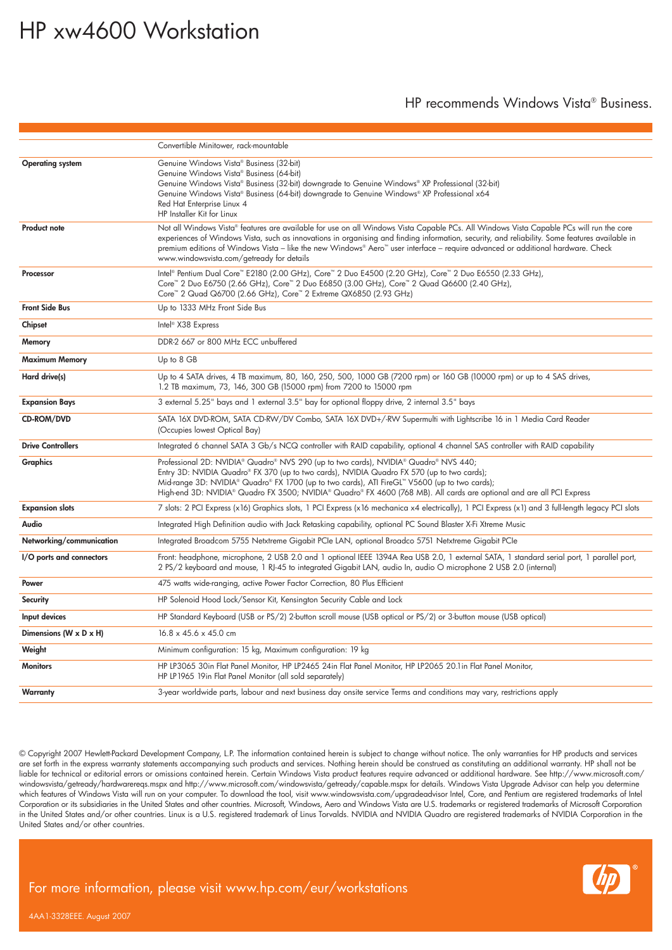## HP xw4600 Workstation

### HP recommends Windows Vista® Business.

|                                      | Convertible Minitower, rack-mountable                                                                                                                                                                                                                                                                                                                                                                                                                                     |  |  |
|--------------------------------------|---------------------------------------------------------------------------------------------------------------------------------------------------------------------------------------------------------------------------------------------------------------------------------------------------------------------------------------------------------------------------------------------------------------------------------------------------------------------------|--|--|
|                                      |                                                                                                                                                                                                                                                                                                                                                                                                                                                                           |  |  |
| <b>Operating system</b>              | Genuine Windows Vista® Business (32-bit)<br>Genuine Windows Vista® Business (64-bit)<br>Genuine Windows Vista® Business (32-bit) downgrade to Genuine Windows® XP Professional (32-bit)<br>Genuine Windows Vista® Business (64-bit) downgrade to Genuine Windows® XP Professional x64<br>Red Hat Enterprise Linux 4<br>HP Installer Kit for Linux                                                                                                                         |  |  |
| <b>Product note</b>                  | Not all Windows Vista® features are available for use on all Windows Vista Capable PCs. All Windows Vista Capable PCs will run the core<br>experiences of Windows Vista, such as innovations in organising and finding information, security, and reliability. Some features available in<br>premium editions of Windows Vista - like the new Windows® Aero™ user interface - require advanced or additional hardware. Check<br>www.windowsvista.com/getready for details |  |  |
| Processor                            | Intel® Pentium Dual Core™ E2180 (2.00 GHz), Core™ 2 Duo E4500 (2.20 GHz), Core™ 2 Duo E6550 (2.33 GHz),<br>Core™ 2 Duo E6750 (2.66 GHz), Core™ 2 Duo E6850 (3.00 GHz), Core™ 2 Quad Q6600 (2.40 GHz),<br>Core™ 2 Quad Q6700 (2.66 GHz), Core™ 2 Extreme QX6850 (2.93 GHz)                                                                                                                                                                                                 |  |  |
| <b>Front Side Bus</b>                | Up to 1333 MHz Front Side Bus                                                                                                                                                                                                                                                                                                                                                                                                                                             |  |  |
| Chipset                              | Intel <sup>®</sup> X38 Express                                                                                                                                                                                                                                                                                                                                                                                                                                            |  |  |
| Memory                               | DDR-2 667 or 800 MHz ECC unbuffered                                                                                                                                                                                                                                                                                                                                                                                                                                       |  |  |
| <b>Maximum Memory</b>                | Up to 8 GB                                                                                                                                                                                                                                                                                                                                                                                                                                                                |  |  |
| Hard drive(s)                        | Up to 4 SATA drives, 4 TB maximum, 80, 160, 250, 500, 1000 GB (7200 rpm) or 160 GB (10000 rpm) or up to 4 SAS drives,<br>1.2 TB maximum, 73, 146, 300 GB (15000 rpm) from 7200 to 15000 rpm                                                                                                                                                                                                                                                                               |  |  |
| <b>Expansion Bays</b>                | 3 external 5.25" bays and 1 external 3.5" bay for optional floppy drive, 2 internal 3.5" bays                                                                                                                                                                                                                                                                                                                                                                             |  |  |
| CD-ROM/DVD                           | SATA 16X DVD-ROM, SATA CD-RW/DV Combo, SATA 16X DVD+/-RW Supermulti with Lightscribe 16 in 1 Media Card Reader<br>(Occupies lowest Optical Bay)                                                                                                                                                                                                                                                                                                                           |  |  |
| <b>Drive Controllers</b>             | Integrated 6 channel SATA 3 Gb/s NCQ controller with RAID capability, optional 4 channel SAS controller with RAID capability                                                                                                                                                                                                                                                                                                                                              |  |  |
| <b>Graphics</b>                      | Professional 2D: NVIDIA® Quadro® NVS 290 (up to two cards), NVIDIA® Quadro® NVS 440;<br>Entry 3D: NVIDIA Quadro® FX 370 (up to two cards), NVIDIA Quadro FX 570 (up to two cards);<br>Mid-range 3D: NVIDIA® Quadro® FX 1700 (up to two cards), ATI FireGL™ V5600 (up to two cards);<br>High-end 3D: NVIDIA® Quadro FX 3500; NVIDIA® Quadro® FX 4600 (768 MB). All cards are optional and are all PCI Express                                                              |  |  |
| <b>Expansion slots</b>               | 7 slots: 2 PCI Express (x16) Graphics slots, 1 PCI Express (x16 mechanica x4 electrically), 1 PCI Express (x1) and 3 full-length legacy PCI slots                                                                                                                                                                                                                                                                                                                         |  |  |
| Audio                                | Integrated High Definition audio with Jack Retasking capability, optional PC Sound Blaster X-Fi Xtreme Music                                                                                                                                                                                                                                                                                                                                                              |  |  |
| Networking/communication             | Integrated Broadcom 5755 Netxtreme Gigabit PCIe LAN, optional Broadco 5751 Netxtreme Gigabit PCIe                                                                                                                                                                                                                                                                                                                                                                         |  |  |
| I/O ports and connectors             | Front: headphone, microphone, 2 USB 2.0 and 1 optional IEEE 1394A Rea USB 2.0, 1 external SATA, 1 standard serial port, 1 parallel port,<br>2 PS/2 keyboard and mouse, 1 RJ-45 to integrated Gigabit LAN, audio In, audio O microphone 2 USB 2.0 (internal)                                                                                                                                                                                                               |  |  |
| Power                                | 475 watts wide-ranging, active Power Factor Correction, 80 Plus Efficient                                                                                                                                                                                                                                                                                                                                                                                                 |  |  |
| <b>Security</b>                      | HP Solenoid Hood Lock/Sensor Kit, Kensington Security Cable and Lock                                                                                                                                                                                                                                                                                                                                                                                                      |  |  |
| Input devices                        | HP Standard Keyboard (USB or PS/2) 2-button scroll mouse (USB optical or PS/2) or 3-button mouse (USB optical)                                                                                                                                                                                                                                                                                                                                                            |  |  |
| Dimensions (W $\times$ D $\times$ H) | $16.8 \times 45.6 \times 45.0$ cm                                                                                                                                                                                                                                                                                                                                                                                                                                         |  |  |
| Weight                               | Minimum configuration: 15 kg, Maximum configuration: 19 kg                                                                                                                                                                                                                                                                                                                                                                                                                |  |  |
| <b>Monitors</b>                      | HP LP3065 30in Flat Panel Monitor, HP LP2465 24in Flat Panel Monitor, HP LP2065 20.1 in Flat Panel Monitor,<br>HP LP1965 19in Flat Panel Monitor (all sold separately)                                                                                                                                                                                                                                                                                                    |  |  |
| Warranty                             | 3-year worldwide parts, labour and next business day onsite service Terms and conditions may vary, restrictions apply                                                                                                                                                                                                                                                                                                                                                     |  |  |

© Copyright 2007 Hewlett-Packard Development Company, L.P. The information contained herein is subject to change without notice. The only warranties for HP products and services are set forth in the express warranty statements accompanying such products and services. Nothing herein should be construed as constituting an additional warranty. HP shall not be liable for technical or editorial errors or omissions contained herein. Certain Windows Vista product features require advanced or additional hardware. See http://www.microsoft.com/ windowsvista/getready/hardwarereqs.mspx and http://www.microsoft.com/windowsvista/getready/capable.mspx for details. Windows Vista Upgrade Advisor can help you determine which features of Windows Vista will run on your computer. To download the tool, visit www.windowsvista.com/upgradeadvisor Intel, Core, and Pentium are registered trademarks of Intel Corporation or its subsidiaries in the United States and other countries. Microsoft, Windows, Aero and Windows Vista are U.S. trademarks or registered trademarks of Microsoft Corporation in the United States and/or other countries. Linux is a U.S. registered trademark of Linus Torvalds. NVIDIA and NVIDIA Quadro are registered trademarks of NVIDIA Corporation in the United States and/or other countries.

For more information, please visit www.hp.com/eur/workstations



4AA1-3328EEE. August 2007